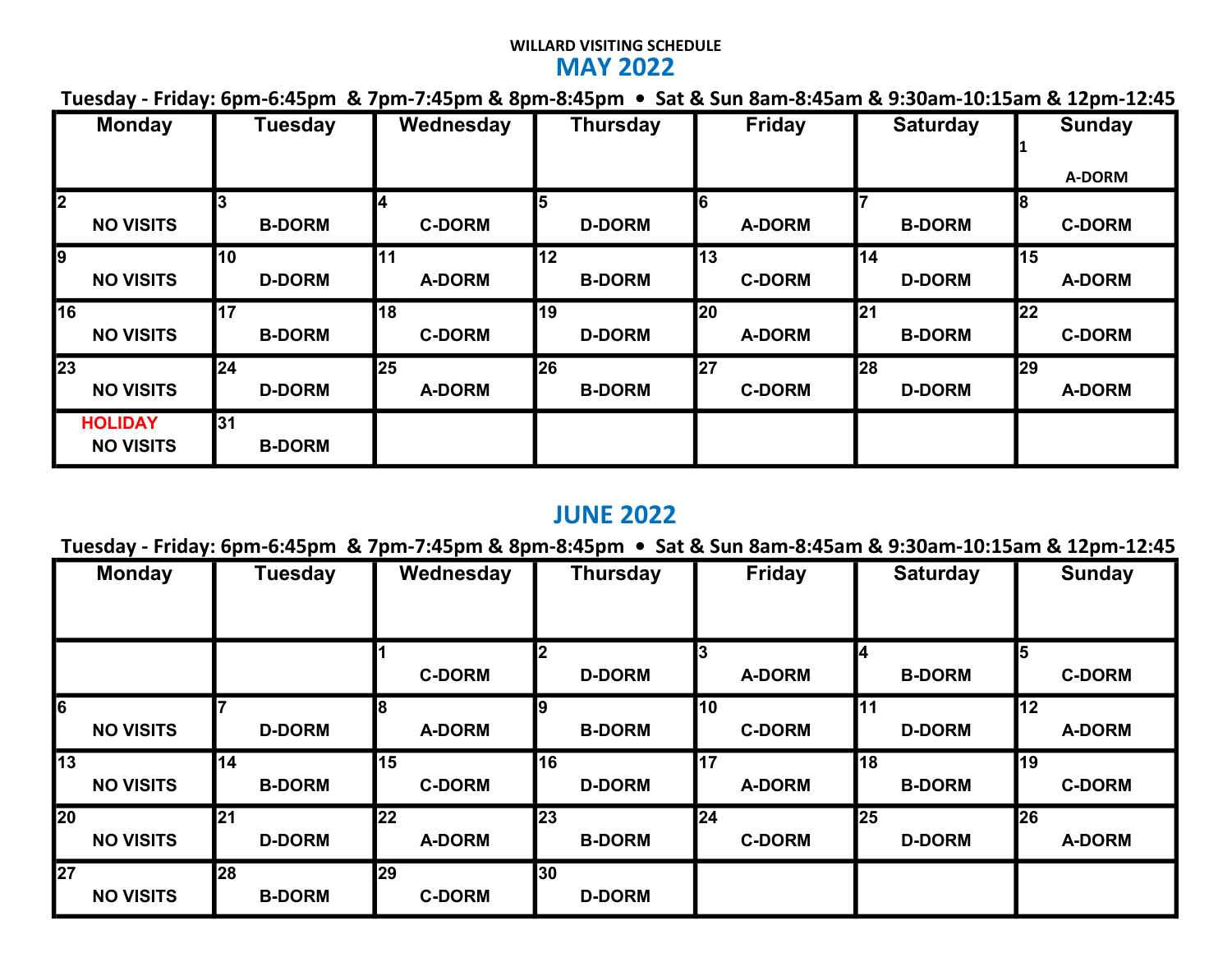### WILLARD VISITING SCHEDULE MAY 2022

|  |  |  |  |  |  |  |  |  | Tuesday - Friday: 6pm-6:45pm & 7pm-7:45pm & 8pm-8:45pm • Sat & Sun 8am-8:45am & 9:30am-10:15am & 12pm-12:45 |  |  |  |  |  |  |  |
|--|--|--|--|--|--|--|--|--|-------------------------------------------------------------------------------------------------------------|--|--|--|--|--|--|--|
|--|--|--|--|--|--|--|--|--|-------------------------------------------------------------------------------------------------------------|--|--|--|--|--|--|--|

| <b>Monday</b>                               | <b>Tuesday</b>      | Wednesday     | <b>Thursday</b>    | <b>Friday</b> | <b>Saturday</b> | <b>Sunday</b><br>A-DORM |
|---------------------------------------------|---------------------|---------------|--------------------|---------------|-----------------|-------------------------|
| $\overline{\mathbf{z}}$<br><b>NO VISITS</b> | <b>B-DORM</b>       | <b>C-DORM</b> | 5<br><b>D-DORM</b> | <b>A-DORM</b> | <b>B-DORM</b>   | <b>C-DORM</b>           |
| 9                                           | 110                 | 11            | 12                 | 113           | 14              | <b>15</b>               |
| <b>NO VISITS</b>                            | <b>D-DORM</b>       | <b>A-DORM</b> | <b>B-DORM</b>      | <b>C-DORM</b> | <b>D-DORM</b>   | <b>A-DORM</b>           |
| $\overline{116}$                            | 17                  | 18            | 19                 | 20            | 21              | 22                      |
| <b>NO VISITS</b>                            | <b>B-DORM</b>       | <b>C-DORM</b> | <b>D-DORM</b>      | <b>A-DORM</b> | <b>B-DORM</b>   | <b>C-DORM</b>           |
| $\overline{23}$                             | 24                  | <b>25</b>     | 26                 | 27            | 28              | <b>29</b>               |
| <b>NO VISITS</b>                            | <b>D-DORM</b>       | <b>A-DORM</b> | <b>B-DORM</b>      | <b>C-DORM</b> | <b>D-DORM</b>   | <b>A-DORM</b>           |
| <b>HOLIDAY</b><br><b>NO VISITS</b>          | 31<br><b>B-DORM</b> |               |                    |               |                 |                         |

### JUNE 2022

# Tuesday - Friday: 6pm-6:45pm & 7pm-7:45pm & 8pm-8:45pm • Sat & Sun 8am-8:45am & 9:30am-10:15am & 12pm-12:45

|                 | <b>Monday</b>    | <b>Tuesday</b>               | Wednesday                    | <b>Thursday</b>            | <b>Friday</b>              | <b>Saturday</b>     | <b>Sunday</b>              |
|-----------------|------------------|------------------------------|------------------------------|----------------------------|----------------------------|---------------------|----------------------------|
|                 |                  |                              | <b>C-DORM</b>                | <b>D-DORM</b>              | <b>A-DORM</b>              | 14<br><b>B-DORM</b> | 15<br><b>C-DORM</b>        |
| $\overline{6}$  | <b>NO VISITS</b> | <b>D-DORM</b>                | 18<br><b>A-DORM</b>          | 19<br><b>B-DORM</b>        | 10<br><b>C-DORM</b>        | 11<br><b>D-DORM</b> | 112<br><b>A-DORM</b>       |
| $\overline{13}$ | <b>NO VISITS</b> | 14<br><b>B-DORM</b>          | 15<br><b>C-DORM</b>          | 16<br><b>D-DORM</b>        | <b>17</b><br><b>A-DORM</b> | 18<br><b>B-DORM</b> | 119<br><b>C-DORM</b>       |
| $\overline{20}$ | <b>NO VISITS</b> | <b>l</b> 21<br><b>D-DORM</b> | <b>22</b><br><b>A-DORM</b>   | <b>23</b><br><b>B-DORM</b> | 24<br><b>C-DORM</b>        | 25<br><b>D-DORM</b> | <b>26</b><br><b>A-DORM</b> |
| $\overline{27}$ | <b>NO VISITS</b> | <b>28</b><br><b>B-DORM</b>   | <b>l</b> 29<br><b>C-DORM</b> | 30<br><b>D-DORM</b>        |                            |                     |                            |